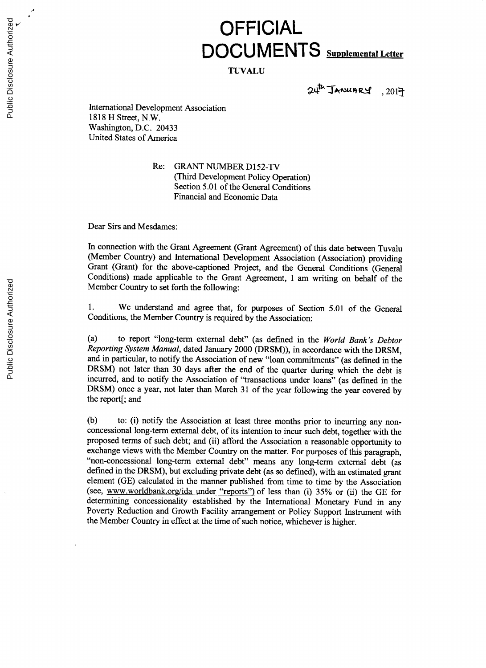## **OFFICIAL DOCUMENTS Supplemental Letter**

## **TUVALU**

24th JANUARY, 2017

International Development Association **1818** H Street, N.W. Washington, **D.C.** 20433 United States of America

> Re: GRANT **NUMBER** D152-TV (Third Development Policy Operation) Section **5.01** of the General Conditions Financial and Economic Data

Dear Sirs and Mesdames:

In connection with the Grant Agreement (Grant Agreement) of this date between Tuvalu (Member Country) and International Development Association (Association) providing Grant (Grant) for the above-captioned Project, and the General Conditions (General Conditions) made applicable to the Grant Agreement, **I** am writing on behalf of the Member Country to set forth the following:

**1.** We understand and agree that, for purposes of Section **5.01** of the General Conditions, the Member Country is required **by** the Association:

(a) to report "long-term external debt" (as defined in the *World Bank's Debtor Reporting System Manual,* dated January 2000 (DRSM)), in accordance with the DRSM, and in particular, to notify the Association of new "loan commitments" (as defined in the DRSM) not later than **30** days after the end of the quarter during which the debt is incurred, and to notify the Association of "transactions under loans" (as defined in the DRSM) once a year, not later than March **31** of the year following the year covered **by** the report[; and

**(b)** to: (i) notify the Association at least three months prior to incurring any nonconcessional long-term external debt, of its intention to incur such debt, together with the proposed terms of such debt; and (ii) afford the Association a reasonable opportunity to exchange views with the Member Country on the matter. For purposes of this paragraph, "non-concessional long-term external debt" means any long-term external debt (as defined in the DRSM), but excluding private debt (as so element (GE) calculated in the manner published from time to time by the Association (see, www.worldbank.org/ida under "reports") of less than (i) 35% or (ii) the GE for determining concessionality established **by** the International Monetary Fund in any Poverty Reduction and Growth Facility arrangement or Policy Support Instrument with the Member Country in effect at the time of such notice, whichever is higher.